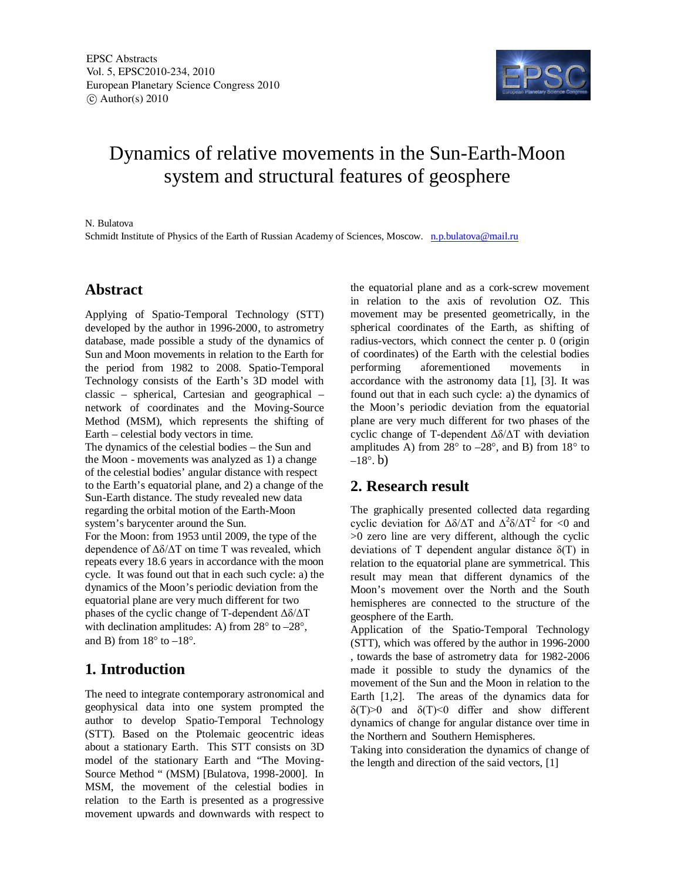

# Dynamics of relative movements in the Sun-Earth-Moon system and structural features of geosphere

#### N. Bulatova

Schmidt Institute of Physics of the Earth of Russian Academy of Sciences, Moscow. n.p.bulatova@mail.ru

### **Abstract**

Applying of Spatio-Temporal Technology (STT) developed by the author in 1996-2000, to astrometry database, made possible a study of the dynamics of Sun and Moon movements in relation to the Earth for the period from 1982 to 2008. Spatio-Temporal Technology consists of the Earth's 3D model with classic – spherical, Cartesian and geographical – network of coordinates and the Moving-Source Method (MSM), which represents the shifting of Earth – celestial body vectors in time.

The dynamics of the celestial bodies – the Sun and the Moon - movements was analyzed as 1) a change of the celestial bodies' angular distance with respect to the Earth's equatorial plane, and 2) a change of the Sun-Earth distance. The study revealed new data regarding the orbital motion of the Earth-Moon system's barycenter around the Sun.

For the Moon: from 1953 until 2009, the type of the dependence of  $\Delta\delta/\Delta T$  on time T was revealed, which repeats every 18.6 years in accordance with the moon cycle. It was found out that in each such cycle: a) the dynamics of the Moon's periodic deviation from the equatorial plane are very much different for two phases of the cyclic change of T-dependent  $\Delta\delta/\Delta T$ with declination amplitudes: A) from 28° to –28°, and B) from  $18^\circ$  to  $-18^\circ$ .

## **1. Introduction**

The need to integrate contemporary astronomical and geophysical data into one system prompted the author to develop Spatio-Temporal Technology (STT). Based on the Ptolemaic geocentric ideas about a stationary Earth. This STT consists on 3D model of the stationary Earth and "The Moving-Source Method " (MSM) [Bulatova, 1998-2000]. In MSM, the movement of the celestial bodies in relation to the Earth is presented as a progressive movement upwards and downwards with respect to

the equatorial plane and as a cork-screw movement in relation to the axis of revolution OZ. This movement may be presented geometrically, in the spherical coordinates of the Earth, as shifting of radius-vectors, which connect the center p. 0 (origin of coordinates) of the Earth with the celestial bodies performing aforementioned movements in accordance with the astronomy data [1], [3]. It was found out that in each such cycle: a) the dynamics of the Moon's periodic deviation from the equatorial plane are very much different for two phases of the cyclic change of T-dependent  $\Delta\delta/\Delta T$  with deviation amplitudes A) from  $28^\circ$  to  $-28^\circ$ , and B) from  $18^\circ$  to  $-18^\circ$ , b)

## **2. Research result**

The graphically presented collected data regarding cyclic deviation for  $\Delta\delta/\Delta T$  and  $\Delta^2 \delta/\Delta T^2$  for <0 and >0 zero line are very different, although the cyclic deviations of T dependent angular distance  $\delta(T)$  in relation to the equatorial plane are symmetrical. This result may mean that different dynamics of the Moon's movement over the North and the South hemispheres are connected to the structure of the geosphere of the Earth.

Application of the Spatio-Temporal Technology (STT), which was offered by the author in 1996-2000 , towards the base of astrometry data for 1982-2006 made it possible to study the dynamics of the movement of the Sun and the Moon in relation to the Earth [1,2]. The areas of the dynamics data for  $\delta(T) > 0$  and  $\delta(T) < 0$  differ and show different dynamics of change for angular distance over time in the Northern and Southern Hemispheres.

Taking into consideration the dynamics of change of the length and direction of the said vectors, [1]